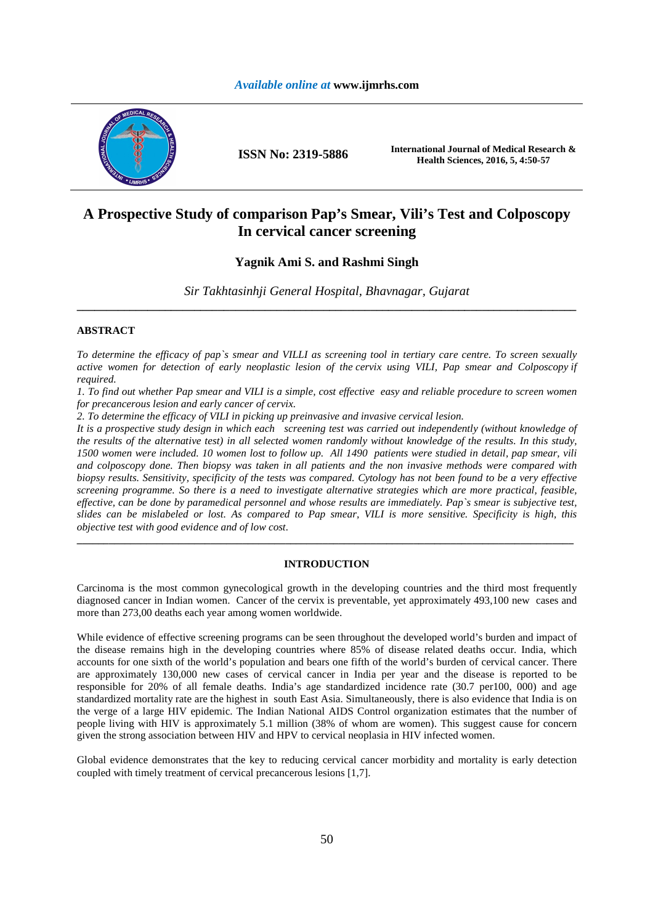## *Available online at* **www.ijmrhs.com**



**ISSN No: 2319-5886 International Journal of Medical Research & Health Sciences, 2016, 5, 4:50-57** 

# **A Prospective Study of comparison Pap's Smear, Vili's Test and Colposcopy In cervical cancer screening**

# **Yagnik Ami S. and Rashmi Singh**

*Sir Takhtasinhji General Hospital, Bhavnagar, Gujarat*  **\_\_\_\_\_\_\_\_\_\_\_\_\_\_\_\_\_\_\_\_\_\_\_\_\_\_\_\_\_\_\_\_\_\_\_\_\_\_\_\_\_\_\_\_\_\_\_\_\_\_\_\_\_\_\_\_\_\_\_\_\_\_\_\_\_\_\_\_\_\_\_\_\_\_\_\_\_\_\_\_\_\_\_\_\_** 

# **ABSTRACT**

*To determine the efficacy of pap`s smear and VILLI as screening tool in tertiary care centre. To screen sexually active women for detection of early neoplastic lesion of the cervix using VILI, Pap smear and Colposcopy if required.* 

*1. To find out whether Pap smear and VILI is a simple, cost effective easy and reliable procedure to screen women for precancerous lesion and early cancer of cervix.* 

*2. To determine the efficacy of VILI in picking up preinvasive and invasive cervical lesion.* 

*It is a prospective study design in which each screening test was carried out independently (without knowledge of the results of the alternative test) in all selected women randomly without knowledge of the results. In this study, 1500 women were included. 10 women lost to follow up. All 1490 patients were studied in detail, pap smear, vili and colposcopy done. Then biopsy was taken in all patients and the non invasive methods were compared with biopsy results. Sensitivity, specificity of the tests was compared. Cytology has not been found to be a very effective screening programme. So there is a need to investigate alternative strategies which are more practical, feasible, effective, can be done by paramedical personnel and whose results are immediately. Pap`s smear is subjective test, slides can be mislabeled or lost. As compared to Pap smear, VILI is more sensitive. Specificity is high, this objective test with good evidence and of low cost.* 

## **INTRODUCTION**

**\_\_\_\_\_\_\_\_\_\_\_\_\_\_\_\_\_\_\_\_\_\_\_\_\_\_\_\_\_\_\_\_\_\_\_\_\_\_\_\_\_\_\_\_\_\_\_\_\_\_\_\_\_\_\_\_\_\_\_\_\_\_\_\_\_\_\_\_\_\_\_\_\_\_\_\_\_\_\_\_\_\_\_\_\_\_\_\_\_\_\_\_\_** 

Carcinoma is the most common gynecological growth in the developing countries and the third most frequently diagnosed cancer in Indian women. Cancer of the cervix is preventable, yet approximately 493,100 new cases and more than 273,00 deaths each year among women worldwide.

While evidence of effective screening programs can be seen throughout the developed world's burden and impact of the disease remains high in the developing countries where 85% of disease related deaths occur. India, which accounts for one sixth of the world's population and bears one fifth of the world's burden of cervical cancer. There are approximately 130,000 new cases of cervical cancer in India per year and the disease is reported to be responsible for 20% of all female deaths. India's age standardized incidence rate (30.7 per100, 000) and age standardized mortality rate are the highest in south East Asia. Simultaneously, there is also evidence that India is on the verge of a large HIV epidemic. The Indian National AIDS Control organization estimates that the number of people living with HIV is approximately 5.1 million (38% of whom are women). This suggest cause for concern given the strong association between HIV and HPV to cervical neoplasia in HIV infected women.

Global evidence demonstrates that the key to reducing cervical cancer morbidity and mortality is early detection coupled with timely treatment of cervical precancerous lesions [1,7].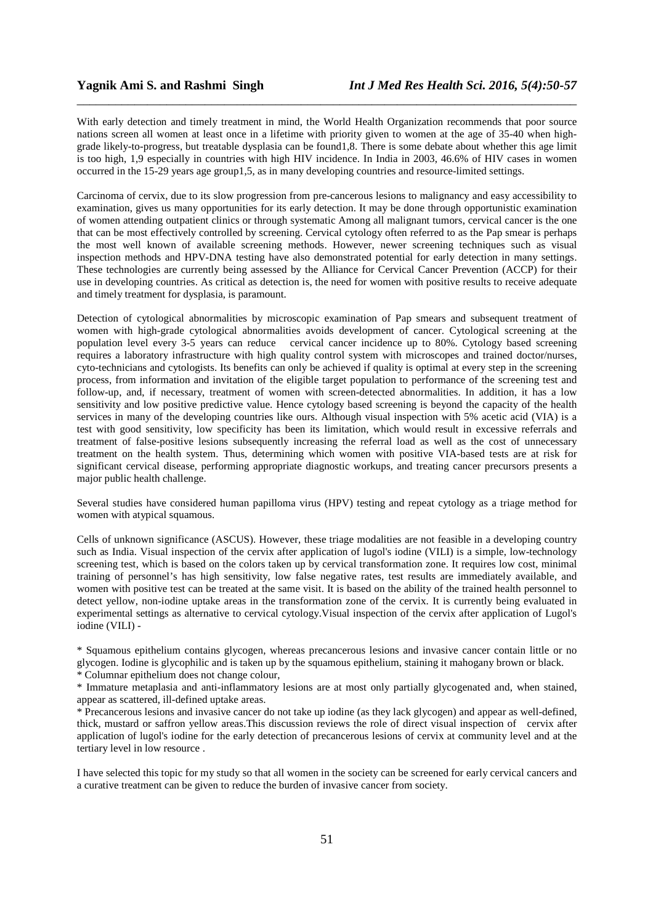With early detection and timely treatment in mind, the World Health Organization recommends that poor source nations screen all women at least once in a lifetime with priority given to women at the age of 35-40 when highgrade likely-to-progress, but treatable dysplasia can be found1,8. There is some debate about whether this age limit is too high, 1,9 especially in countries with high HIV incidence. In India in 2003, 46.6% of HIV cases in women occurred in the 15-29 years age group1,5, as in many developing countries and resource-limited settings.

*\_\_\_\_\_\_\_\_\_\_\_\_\_\_\_\_\_\_\_\_\_\_\_\_\_\_\_\_\_\_\_\_\_\_\_\_\_\_\_\_\_\_\_\_\_\_\_\_\_\_\_\_\_\_\_\_\_\_\_\_\_\_\_\_\_\_\_\_\_\_\_\_\_\_\_\_\_\_*

Carcinoma of cervix, due to its slow progression from pre-cancerous lesions to malignancy and easy accessibility to examination, gives us many opportunities for its early detection. It may be done through opportunistic examination of women attending outpatient clinics or through systematic Among all malignant tumors, cervical cancer is the one that can be most effectively controlled by screening. Cervical cytology often referred to as the Pap smear is perhaps the most well known of available screening methods. However, newer screening techniques such as visual inspection methods and HPV-DNA testing have also demonstrated potential for early detection in many settings. These technologies are currently being assessed by the Alliance for Cervical Cancer Prevention (ACCP) for their use in developing countries. As critical as detection is, the need for women with positive results to receive adequate and timely treatment for dysplasia, is paramount.

Detection of cytological abnormalities by microscopic examination of Pap smears and subsequent treatment of women with high-grade cytological abnormalities avoids development of cancer. Cytological screening at the population level every 3-5 years can reduce cervical cancer incidence up to 80%. Cytology based screening requires a laboratory infrastructure with high quality control system with microscopes and trained doctor/nurses, cyto-technicians and cytologists. Its benefits can only be achieved if quality is optimal at every step in the screening process, from information and invitation of the eligible target population to performance of the screening test and follow-up, and, if necessary, treatment of women with screen-detected abnormalities. In addition, it has a low sensitivity and low positive predictive value. Hence cytology based screening is beyond the capacity of the health services in many of the developing countries like ours. Although visual inspection with 5% acetic acid (VIA) is a test with good sensitivity, low specificity has been its limitation, which would result in excessive referrals and treatment of false-positive lesions subsequently increasing the referral load as well as the cost of unnecessary treatment on the health system. Thus, determining which women with positive VIA-based tests are at risk for significant cervical disease, performing appropriate diagnostic workups, and treating cancer precursors presents a major public health challenge.

Several studies have considered human papilloma virus (HPV) testing and repeat cytology as a triage method for women with atypical squamous.

Cells of unknown significance (ASCUS). However, these triage modalities are not feasible in a developing country such as India. Visual inspection of the cervix after application of lugol's iodine (VILI) is a simple, low-technology screening test, which is based on the colors taken up by cervical transformation zone. It requires low cost, minimal training of personnel's has high sensitivity, low false negative rates, test results are immediately available, and women with positive test can be treated at the same visit. It is based on the ability of the trained health personnel to detect yellow, non-iodine uptake areas in the transformation zone of the cervix. It is currently being evaluated in experimental settings as alternative to cervical cytology.Visual inspection of the cervix after application of Lugol's iodine (VILI) -

\* Squamous epithelium contains glycogen, whereas precancerous lesions and invasive cancer contain little or no glycogen. Iodine is glycophilic and is taken up by the squamous epithelium, staining it mahogany brown or black. \* Columnar epithelium does not change colour,

\* Immature metaplasia and anti-inflammatory lesions are at most only partially glycogenated and, when stained, appear as scattered, ill-defined uptake areas.

\* Precancerous lesions and invasive cancer do not take up iodine (as they lack glycogen) and appear as well-defined, thick, mustard or saffron yellow areas.This discussion reviews the role of direct visual inspection of cervix after application of lugol's iodine for the early detection of precancerous lesions of cervix at community level and at the tertiary level in low resource .

I have selected this topic for my study so that all women in the society can be screened for early cervical cancers and a curative treatment can be given to reduce the burden of invasive cancer from society.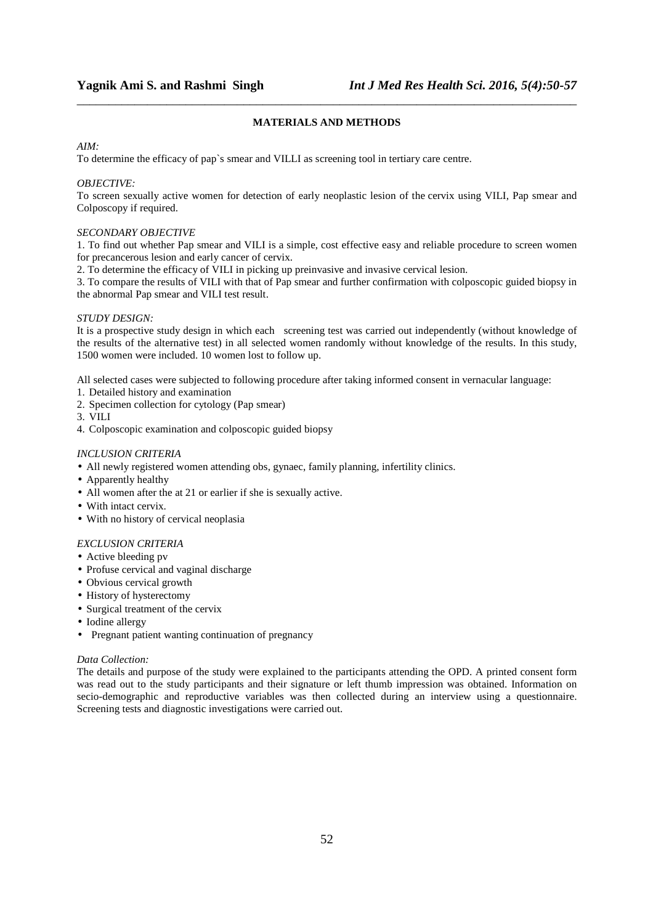# **MATERIALS AND METHODS**

*\_\_\_\_\_\_\_\_\_\_\_\_\_\_\_\_\_\_\_\_\_\_\_\_\_\_\_\_\_\_\_\_\_\_\_\_\_\_\_\_\_\_\_\_\_\_\_\_\_\_\_\_\_\_\_\_\_\_\_\_\_\_\_\_\_\_\_\_\_\_\_\_\_\_\_\_\_\_*

## *AIM:*

To determine the efficacy of pap`s smear and VILLI as screening tool in tertiary care centre.

## *OBJECTIVE:*

To screen sexually active women for detection of early neoplastic lesion of the cervix using VILI, Pap smear and Colposcopy if required.

## *SECONDARY OBJECTIVE*

1. To find out whether Pap smear and VILI is a simple, cost effective easy and reliable procedure to screen women for precancerous lesion and early cancer of cervix.

2. To determine the efficacy of VILI in picking up preinvasive and invasive cervical lesion.

3. To compare the results of VILI with that of Pap smear and further confirmation with colposcopic guided biopsy in the abnormal Pap smear and VILI test result.

## *STUDY DESIGN:*

It is a prospective study design in which each screening test was carried out independently (without knowledge of the results of the alternative test) in all selected women randomly without knowledge of the results. In this study, 1500 women were included. 10 women lost to follow up.

All selected cases were subjected to following procedure after taking informed consent in vernacular language:

- 1. Detailed history and examination
- 2. Specimen collection for cytology (Pap smear)
- 3. VILI
- 4. Colposcopic examination and colposcopic guided biopsy

## *INCLUSION CRITERIA*

- All newly registered women attending obs, gynaec, family planning, infertility clinics.
- Apparently healthy
- All women after the at 21 or earlier if she is sexually active.
- With intact cervix.
- With no history of cervical neoplasia

# *EXCLUSION CRITERIA*

- Active bleeding pv
- Profuse cervical and vaginal discharge
- Obvious cervical growth
- History of hysterectomy
- Surgical treatment of the cervix
- Iodine allergy
- Pregnant patient wanting continuation of pregnancy

## *Data Collection:*

The details and purpose of the study were explained to the participants attending the OPD. A printed consent form was read out to the study participants and their signature or left thumb impression was obtained. Information on secio-demographic and reproductive variables was then collected during an interview using a questionnaire. Screening tests and diagnostic investigations were carried out.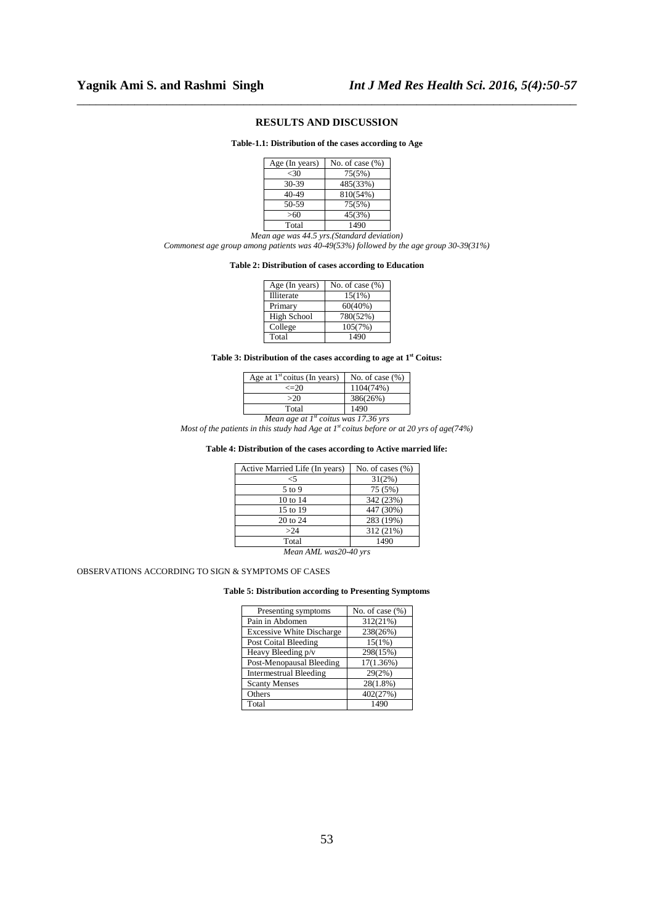# **RESULTS AND DISCUSSION**

*\_\_\_\_\_\_\_\_\_\_\_\_\_\_\_\_\_\_\_\_\_\_\_\_\_\_\_\_\_\_\_\_\_\_\_\_\_\_\_\_\_\_\_\_\_\_\_\_\_\_\_\_\_\_\_\_\_\_\_\_\_\_\_\_\_\_\_\_\_\_\_\_\_\_\_\_\_\_*

**Table-1.1: Distribution of the cases according to Age** 

| Age (In years) | No. of case $(\%)$ |
|----------------|--------------------|
| <30            | 75(5%)             |
| 30-39          | 485(33%)           |
| 40-49          | 810(54%)           |
| 50-59          | 75(5%)             |
| >60            | 45(3%)             |
| Total          | 1490               |

*Mean age was 44.5 yrs.(Standard deviation) Commonest age group among patients was 40-49(53%) followed by the age group 30-39(31%)* 

#### **Table 2: Distribution of cases according to Education**

| Age (In years) | No. of case $(\%)$ |
|----------------|--------------------|
| Illiterate     | 15(1%)             |
| Primary        | 60(40%)            |
| High School    | 780(52%)           |
| College        | 105(7%)            |
| Total          | 1490               |

### **Table 3: Distribution of the cases according to age at 1st Coitus:**

| Age at $1st$ coitus (In years)         | No. of case $(\% )$ |  |  |
|----------------------------------------|---------------------|--|--|
| $\leq$ 20                              | 1104(74%)           |  |  |
| >20                                    | 386(26%)            |  |  |
| 1490<br>Total                          |                     |  |  |
| Mean age at $Ist$ coitus was 17.36 yrs |                     |  |  |

*Most of the patients in this study had Age at 1st coitus before or at 20 yrs of age(74%)* 

### **Table 4: Distribution of the cases according to Active married life:**

| Active Married Life (In years) | No. of cases $(\% )$ |
|--------------------------------|----------------------|
| $<$ 5                          | 31(2%)               |
| 5 to 9                         | 75 (5%)              |
| $10 \text{ to } 14$            | 342 (23%)            |
| 15 to 19                       | 447 (30%)            |
| 20 to 24                       | 283 (19%)            |
| >24                            | 312 (21%)            |
| Total                          | 1490                 |
|                                |                      |

*Mean AML was20-40 yrs* 

## OBSERVATIONS ACCORDING TO SIGN & SYMPTOMS OF CASES

#### **Table 5: Distribution according to Presenting Symptoms**

| Presenting symptoms              | No. of case $(\%)$ |
|----------------------------------|--------------------|
| Pain in Abdomen                  | 312(21%)           |
| <b>Excessive White Discharge</b> | 238(26%)           |
| Post Coital Bleeding             | 15(1%)             |
| Heavy Bleeding p/v               | 298(15%)           |
| Post-Menopausal Bleeding         | 17(1.36%)          |
| <b>Intermestrual Bleeding</b>    | 29(2%)             |
| <b>Scanty Menses</b>             | $28(1.8\%)$        |
| Others                           | 402(27%)           |
| Total                            | 1490               |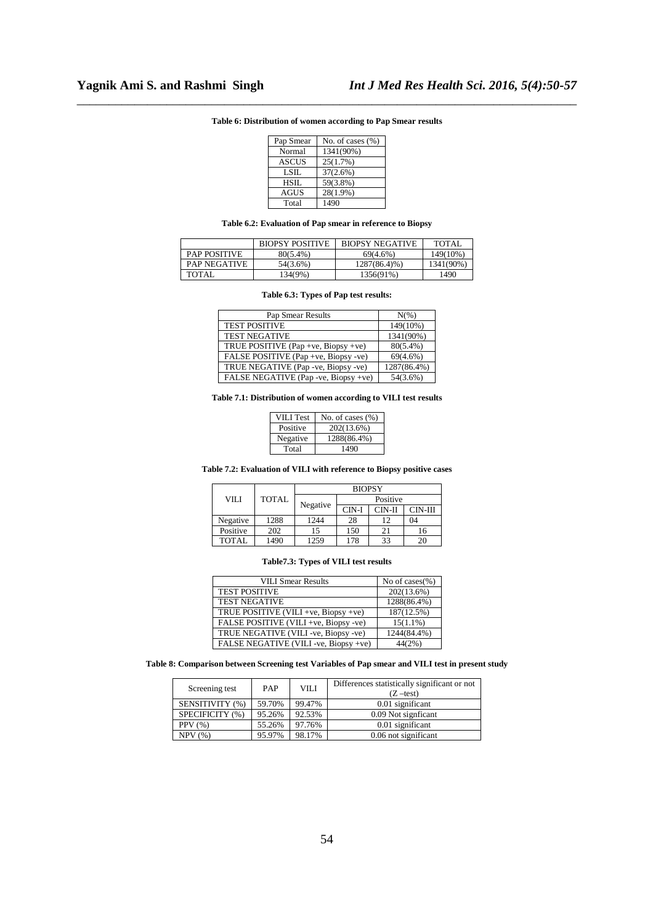| Pap Smear    | No. of cases $(\% )$ |
|--------------|----------------------|
| Normal       | 1341(90%)            |
| <b>ASCUS</b> | 25(1.7%)             |
| <b>LSIL</b>  | 37(2.6%)             |
| HSIL         | 59(3.8%)             |
| AGUS         | 28(1.9%)             |
| Total        | 1490                 |

# *\_\_\_\_\_\_\_\_\_\_\_\_\_\_\_\_\_\_\_\_\_\_\_\_\_\_\_\_\_\_\_\_\_\_\_\_\_\_\_\_\_\_\_\_\_\_\_\_\_\_\_\_\_\_\_\_\_\_\_\_\_\_\_\_\_\_\_\_\_\_\_\_\_\_\_\_\_\_* **Table 6: Distribution of women according to Pap Smear results**

## **Table 6.2: Evaluation of Pap smear in reference to Biopsy**

|                     | <b>BIOPSY POSITIVE</b> | <b>BIOPSY NEGATIVE</b> | TOTAL     |
|---------------------|------------------------|------------------------|-----------|
| <b>PAP POSITIVE</b> | $80(5.4\%)$            | 69(4.6%)               | 149(10%)  |
| <b>PAP NEGATIVE</b> | 54(3.6%)               | $1287(86.4)\%$         | 1341(90%) |
| <b>TOTAL</b>        | 134(9%)                | 1356(91%)              | 1490      |

#### **Table 6.3: Types of Pap test results:**

| Pap Smear Results                    | $N(\%)$     |
|--------------------------------------|-------------|
| <b>TEST POSITIVE</b>                 | 149(10%)    |
| <b>TEST NEGATIVE</b>                 | 1341(90%)   |
| TRUE POSITIVE (Pap +ve, Biopsy +ve)  | $80(5.4\%)$ |
| FALSE POSITIVE (Pap +ve, Biopsy -ve) | $69(4.6\%)$ |
| TRUE NEGATIVE (Pap -ve, Biopsy -ve)  | 1287(86.4%) |
| FALSE NEGATIVE (Pap -ve, Biopsy +ve) | 54(3.6%)    |

#### **Table 7.1: Distribution of women according to VILI test results**

| VILI Test | No. of cases $(\% )$ |
|-----------|----------------------|
| Positive  | 202(13.6%)           |
| Negative  | 1288(86.4%)          |
| Total     | 1490                 |

## **Table 7.2: Evaluation of VILI with reference to Biopsy positive cases**

|              |              |          | <b>BIOPSY</b> |          |         |
|--------------|--------------|----------|---------------|----------|---------|
| VILI         | <b>TOTAL</b> |          |               | Positive |         |
|              |              | Negative | $CIN-I$       | $CIN-II$ | CIN-III |
| Negative     | 1288         | 1244     | 28            | 12       | 04      |
| Positive     | 202          | 15       | 150           | 21       | 16      |
| <b>TOTAL</b> | 1490         | 1259     | 178           | 33       | 20      |

## **Table7.3: Types of VILI test results**

| <b>VILI Smear Results</b>             | No of cases $(\% )$ |
|---------------------------------------|---------------------|
| <b>TEST POSITIVE</b>                  | 202(13.6%)          |
| <b>TEST NEGATIVE</b>                  | 1288(86.4%)         |
| TRUE POSITIVE (VILI +ve, Biopsy +ve)  | 187(12.5%)          |
| FALSE POSITIVE (VILI +ve, Biopsy -ve) | $15(1.1\%)$         |
| TRUE NEGATIVE (VILI-ve, Biopsy-ve)    | 1244(84.4%)         |
| FALSE NEGATIVE (VILI-ve, Biopsy +ve)  | 44(2%)              |

## **Table 8: Comparison between Screening test Variables of Pap smear and VILI test in present study**

| Screening test  | PAP    | VILI   | Differences statistically significant or not<br>$(Z$ –test) |
|-----------------|--------|--------|-------------------------------------------------------------|
| SENSITIVITY (%) | 59.70% | 99.47% | 0.01 significant                                            |
| SPECIFICITY (%) | 95.26% | 92.53% | 0.09 Not signficant                                         |
| PPV(%)          | 55.26% | 97.76% | 0.01 significant                                            |
| NPV(%)          | 95.97% | 98.17% | 0.06 not significant                                        |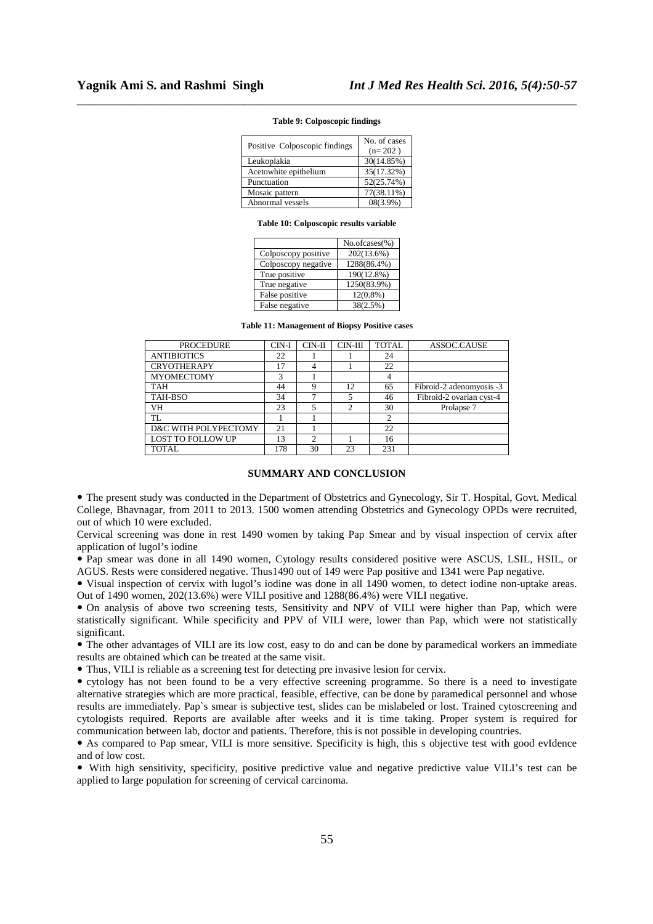| Positive Colposcopic findings | No. of cases<br>$(n=202)$ |
|-------------------------------|---------------------------|
| Leukoplakia                   | 30(14.85%)                |
| Acetowhite epithelium         | 35(17.32%)                |
| Punctuation                   | 52(25.74%)                |
| Mosaic pattern                | 77(38.11%)                |
| Abnormal vessels              | $08(3.9\%)$               |

# *\_\_\_\_\_\_\_\_\_\_\_\_\_\_\_\_\_\_\_\_\_\_\_\_\_\_\_\_\_\_\_\_\_\_\_\_\_\_\_\_\_\_\_\_\_\_\_\_\_\_\_\_\_\_\_\_\_\_\_\_\_\_\_\_\_\_\_\_\_\_\_\_\_\_\_\_\_\_* **Table 9: Colposcopic findings**

#### **Table 10: Colposcopic results variable**

|                     | $No. of cases (\%)$ |
|---------------------|---------------------|
| Colposcopy positive | 202(13.6%)          |
| Colposcopy negative | 1288(86.4%)         |
| True positive       | 190(12.8%)          |
| True negative       | 1250(83.9%)         |
| False positive      | $12(0.8\%)$         |
| False negative      | 38(2.5%)            |

**Table 11: Management of Biopsy Positive cases** 

| <b>PROCEDURE</b>         | CIN-I | $CIN-II$  | CIN-III | <b>TOTAL</b> | ASSOC.CAUSE              |
|--------------------------|-------|-----------|---------|--------------|--------------------------|
| <b>ANTIBIOTICS</b>       | 22    |           |         | 24           |                          |
| <b>CRYOTHERAPY</b>       | 17    |           |         | 22           |                          |
| <b>MYOMECTOMY</b>        | 3     |           |         | 4            |                          |
| <b>TAH</b>               | 44    | Q         | 12      | 65           | Fibroid-2 adenomyosis -3 |
| TAH-BSO                  | 34    |           | 5       | 46           | Fibroid-2 ovarian cyst-4 |
| VH                       | 23    |           | 2       | 30           | Prolapse 7               |
| TL                       |       |           |         | 2            |                          |
| D&C WITH POLYPECTOMY     | 21    |           |         | 22           |                          |
| <b>LOST TO FOLLOW UP</b> | 13    | $\bigcap$ |         | 16           |                          |
| TOTAL                    | 178   | 30        | 23      | 231          |                          |

### **SUMMARY AND CONCLUSION**

 The present study was conducted in the Department of Obstetrics and Gynecology, Sir T. Hospital, Govt. Medical College, Bhavnagar, from 2011 to 2013. 1500 women attending Obstetrics and Gynecology OPDs were recruited, out of which 10 were excluded.

Cervical screening was done in rest 1490 women by taking Pap Smear and by visual inspection of cervix after application of lugol's iodine

 Pap smear was done in all 1490 women, Cytology results considered positive were ASCUS, LSIL, HSIL, or AGUS. Rests were considered negative. Thus1490 out of 149 were Pap positive and 1341 were Pap negative.

 Visual inspection of cervix with lugol's iodine was done in all 1490 women, to detect iodine non-uptake areas. Out of 1490 women, 202(13.6%) were VILI positive and 1288(86.4%) were VILI negative.

 On analysis of above two screening tests, Sensitivity and NPV of VILI were higher than Pap, which were statistically significant. While specificity and PPV of VILI were, lower than Pap, which were not statistically significant.

 The other advantages of VILI are its low cost, easy to do and can be done by paramedical workers an immediate results are obtained which can be treated at the same visit.

Thus, VILI is reliable as a screening test for detecting pre invasive lesion for cervix.

 cytology has not been found to be a very effective screening programme. So there is a need to investigate alternative strategies which are more practical, feasible, effective, can be done by paramedical personnel and whose results are immediately. Pap`s smear is subjective test, slides can be mislabeled or lost. Trained cytoscreening and cytologists required. Reports are available after weeks and it is time taking. Proper system is required for communication between lab, doctor and patients. Therefore, this is not possible in developing countries.

 As compared to Pap smear, VILI is more sensitive. Specificity is high, this s objective test with good evIdence and of low cost.

 With high sensitivity, specificity, positive predictive value and negative predictive value VILI's test can be applied to large population for screening of cervical carcinoma.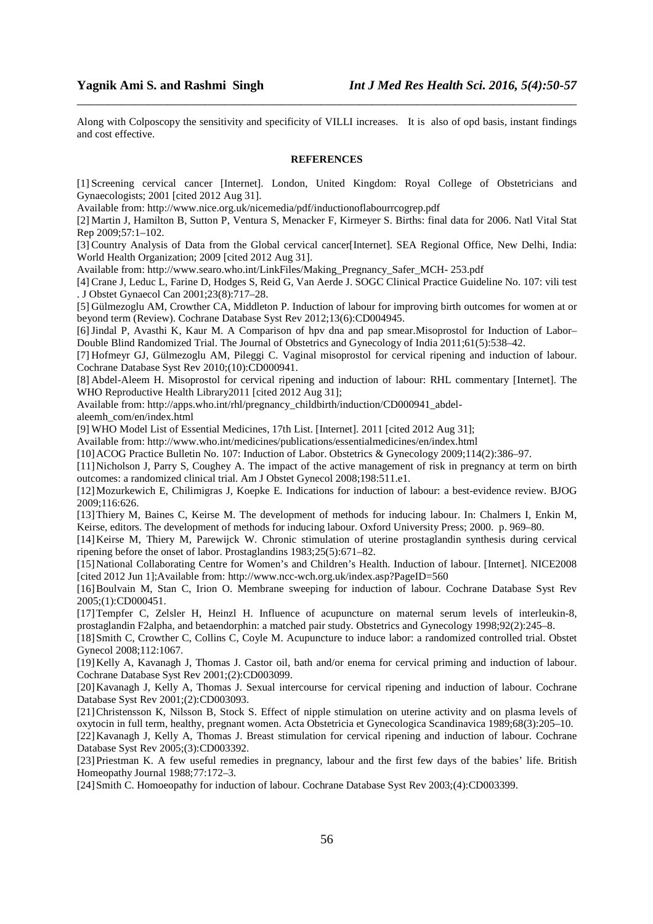Along with Colposcopy the sensitivity and specificity of VILLI increases. It is also of opd basis, instant findings and cost effective.

*\_\_\_\_\_\_\_\_\_\_\_\_\_\_\_\_\_\_\_\_\_\_\_\_\_\_\_\_\_\_\_\_\_\_\_\_\_\_\_\_\_\_\_\_\_\_\_\_\_\_\_\_\_\_\_\_\_\_\_\_\_\_\_\_\_\_\_\_\_\_\_\_\_\_\_\_\_\_*

## **REFERENCES**

[1] Screening cervical cancer [Internet]. London, United Kingdom: Royal College of Obstetricians and Gynaecologists; 2001 [cited 2012 Aug 31].

Available from: http://www.nice.org.uk/nicemedia/pdf/inductionoflabourrcogrep.pdf

[2] Martin J, Hamilton B, Sutton P, Ventura S, Menacker F, Kirmeyer S. Births: final data for 2006. Natl Vital Stat Rep 2009;57:1–102.

[3] Country Analysis of Data from the Global cervical cancer[Internet]. SEA Regional Office, New Delhi, India: World Health Organization; 2009 [cited 2012 Aug 31].

Available from: http://www.searo.who.int/LinkFiles/Making\_Pregnancy\_Safer\_MCH- 253.pdf

[4] Crane J, Leduc L, Farine D, Hodges S, Reid G, Van Aerde J. SOGC Clinical Practice Guideline No. 107: vili test . J Obstet Gynaecol Can 2001;23(8):717–28.

[5] Gülmezoglu AM, Crowther CA, Middleton P. Induction of labour for improving birth outcomes for women at or beyond term (Review). Cochrane Database Syst Rev 2012;13(6):CD004945.

[6]Jindal P, Avasthi K, Kaur M. A Comparison of hpv dna and pap smear.Misoprostol for Induction of Labor– Double Blind Randomized Trial. The Journal of Obstetrics and Gynecology of India 2011;61(5):538–42.

[7] Hofmeyr GJ, Gülmezoglu AM, Pileggi C. Vaginal misoprostol for cervical ripening and induction of labour. Cochrane Database Syst Rev 2010;(10):CD000941.

[8] Abdel-Aleem H. Misoprostol for cervical ripening and induction of labour: RHL commentary [Internet]. The WHO Reproductive Health Library2011 [cited 2012 Aug 31];

Available from: http://apps.who.int/rhl/pregnancy\_childbirth/induction/CD000941\_abdel-

aleemh\_com/en/index.html

[9] WHO Model List of Essential Medicines, 17th List. [Internet]. 2011 [cited 2012 Aug 31];

Available from: http://www.who.int/medicines/publications/essentialmedicines/en/index.html

[10]ACOG Practice Bulletin No. 107: Induction of Labor. Obstetrics & Gynecology 2009;114(2):386–97.

[11]Nicholson J, Parry S, Coughey A. The impact of the active management of risk in pregnancy at term on birth outcomes: a randomized clinical trial. Am J Obstet Gynecol 2008;198:511.e1.

[12]Mozurkewich E, Chilimigras J, Koepke E. Indications for induction of labour: a best-evidence review. BJOG 2009;116:626.

[13]Thiery M, Baines C, Keirse M. The development of methods for inducing labour. In: Chalmers I, Enkin M, Keirse, editors. The development of methods for inducing labour. Oxford University Press; 2000. p. 969–80.

[14]Keirse M, Thiery M, Parewijck W. Chronic stimulation of uterine prostaglandin synthesis during cervical ripening before the onset of labor. Prostaglandins 1983;25(5):671–82.

[15]National Collaborating Centre for Women's and Children's Health. Induction of labour. [Internet]. NICE2008 [cited 2012 Jun 1];Available from: http://www.ncc-wch.org.uk/index.asp?PageID=560

[16]Boulvain M, Stan C, Irion O. Membrane sweeping for induction of labour. Cochrane Database Syst Rev 2005;(1):CD000451.

[17]Tempfer C, Zelsler H, Heinzl H. Influence of acupuncture on maternal serum levels of interleukin-8, prostaglandin F2alpha, and betaendorphin: a matched pair study. Obstetrics and Gynecology 1998;92(2):245–8.

[18]Smith C, Crowther C, Collins C, Coyle M. Acupuncture to induce labor: a randomized controlled trial. Obstet Gynecol 2008;112:1067.

[19]Kelly A, Kavanagh J, Thomas J. Castor oil, bath and/or enema for cervical priming and induction of labour. Cochrane Database Syst Rev 2001;(2):CD003099.

[20]Kavanagh J, Kelly A, Thomas J. Sexual intercourse for cervical ripening and induction of labour. Cochrane Database Syst Rev 2001;(2):CD003093.

[21]Christensson K, Nilsson B, Stock S. Effect of nipple stimulation on uterine activity and on plasma levels of oxytocin in full term, healthy, pregnant women. Acta Obstetricia et Gynecologica Scandinavica 1989;68(3):205–10.

[22]Kavanagh J, Kelly A, Thomas J. Breast stimulation for cervical ripening and induction of labour. Cochrane Database Syst Rev 2005;(3):CD003392.

[23] Priestman K. A few useful remedies in pregnancy, labour and the first few days of the babies' life. British Homeopathy Journal 1988;77:172–3.

[24]Smith C. Homoeopathy for induction of labour. Cochrane Database Syst Rev 2003;(4):CD003399.